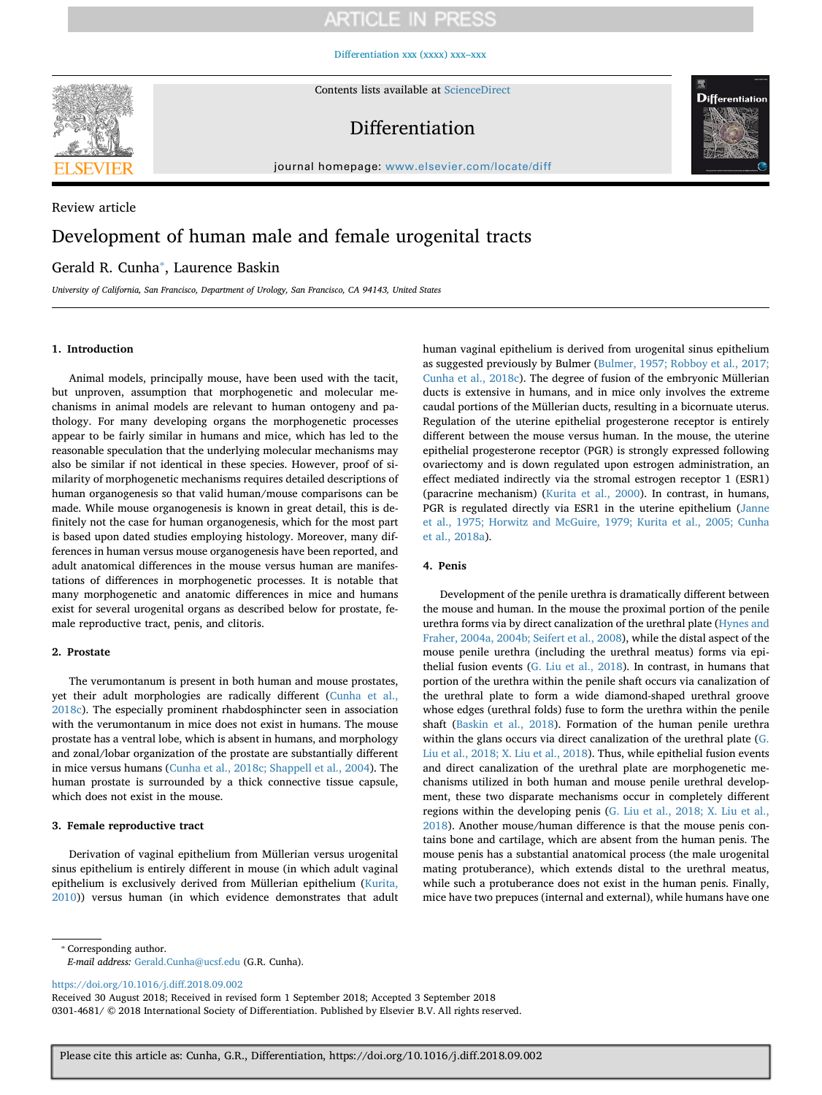# **ARTICLE IN PRESS**

[Differentiation xxx \(xxxx\) xxx–xxx](https://doi.org/10.1016/j.diff.2018.09.002)



Contents lists available at [ScienceDirect](http://www.sciencedirect.com/science/journal/03014681)

### Differentiation



journal homepage: [www.elsevier.com/locate/diff](https://www.elsevier.com/locate/diff)

# Review article Development of human male and female urogenital tracts

### Gerald R. Cunha<sup>\*</sup>, Laurence Baskin

*University of California, San Francisco, Department of Urology, San Francisco, CA 94143, United States*

#### **1. Introduction**

Animal models, principally mouse, have been used with the tacit, but unproven, assumption that morphogenetic and molecular mechanisms in animal models are relevant to human ontogeny and pathology. For many developing organs the morphogenetic processes appear to be fairly similar in humans and mice, which has led to the reasonable speculation that the underlying molecular mechanisms may also be similar if not identical in these species. However, proof of similarity of morphogenetic mechanisms requires detailed descriptions of human organogenesis so that valid human/mouse comparisons can be made. While mouse organogenesis is known in great detail, this is definitely not the case for human organogenesis, which for the most part is based upon dated studies employing histology. Moreover, many differences in human versus mouse organogenesis have been reported, and adult anatomical differences in the mouse versus human are manifestations of differences in morphogenetic processes. It is notable that many morphogenetic and anatomic differences in mice and humans exist for several urogenital organs as described below for prostate, female reproductive tract, penis, and clitoris.

#### **2. Prostate**

The verumontanum is present in both human and mouse prostates, yet their adult morphologies are radically different [\(Cunha et al.,](#page-3-0) [2018c](#page-3-0)). The especially prominent rhabdosphincter seen in association with the verumontanum in mice does not exist in humans. The mouse prostate has a ventral lobe, which is absent in humans, and morphology and zonal/lobar organization of the prostate are substantially different in mice versus humans ([Cunha et al., 2018c; Shappell et al., 2004](#page-3-0)). The human prostate is surrounded by a thick connective tissue capsule, which does not exist in the mouse.

### **3. Female reproductive tract**

Derivation of vaginal epithelium from Müllerian versus urogenital sinus epithelium is entirely different in mouse (in which adult vaginal epithelium is exclusively derived from Müllerian epithelium ([Kurita,](#page-3-1) [2010\)](#page-3-1)) versus human (in which evidence demonstrates that adult

human vaginal epithelium is derived from urogenital sinus epithelium as suggested previously by Bulmer ([Bulmer, 1957; Robboy et al., 2017;](#page-3-2) [Cunha et al., 2018c](#page-3-2)). The degree of fusion of the embryonic Müllerian ducts is extensive in humans, and in mice only involves the extreme caudal portions of the Müllerian ducts, resulting in a bicornuate uterus. Regulation of the uterine epithelial progesterone receptor is entirely different between the mouse versus human. In the mouse, the uterine epithelial progesterone receptor (PGR) is strongly expressed following ovariectomy and is down regulated upon estrogen administration, an effect mediated indirectly via the stromal estrogen receptor 1 (ESR1) (paracrine mechanism) ([Kurita et al., 2000\)](#page-3-3). In contrast, in humans, PGR is regulated directly via ESR1 in the uterine epithelium ([Janne](#page-3-4) [et al., 1975; Horwitz and McGuire, 1979; Kurita et al., 2005; Cunha](#page-3-4) [et al., 2018a](#page-3-4)).

### **4. Penis**

Development of the penile urethra is dramatically different between the mouse and human. In the mouse the proximal portion of the penile urethra forms via by direct canalization of the urethral plate ([Hynes and](#page-3-5) [Fraher, 2004a, 2004b; Seifert et al., 2008\)](#page-3-5), while the distal aspect of the mouse penile urethra (including the urethral meatus) forms via epithelial fusion events ([G. Liu et al., 2018](#page-3-6)). In contrast, in humans that portion of the urethra within the penile shaft occurs via canalization of the urethral plate to form a wide diamond-shaped urethral groove whose edges (urethral folds) fuse to form the urethra within the penile shaft ([Baskin et al., 2018](#page-2-0)). Formation of the human penile urethra within the glans occurs via direct canalization of the urethral plate ([G.](#page-3-6) [Liu et al., 2018; X. Liu et al., 2018](#page-3-6)). Thus, while epithelial fusion events and direct canalization of the urethral plate are morphogenetic mechanisms utilized in both human and mouse penile urethral development, these two disparate mechanisms occur in completely different regions within the developing penis [\(G. Liu et al., 2018; X. Liu et al.,](#page-3-6) [2018\)](#page-3-6). Another mouse/human difference is that the mouse penis contains bone and cartilage, which are absent from the human penis. The mouse penis has a substantial anatomical process (the male urogenital mating protuberance), which extends distal to the urethral meatus, while such a protuberance does not exist in the human penis. Finally, mice have two prepuces (internal and external), while humans have one

<span id="page-0-0"></span>⁎ Corresponding author.

*E-mail address:* [Gerald.Cunha@ucsf.edu](mailto:Gerald.Cunha@ucsf.edu) (G.R. Cunha).

<https://doi.org/10.1016/j.diff.2018.09.002>

Received 30 August 2018; Received in revised form 1 September 2018; Accepted 3 September 2018 0301-4681/ © 2018 International Society of Differentiation. Published by Elsevier B.V. All rights reserved.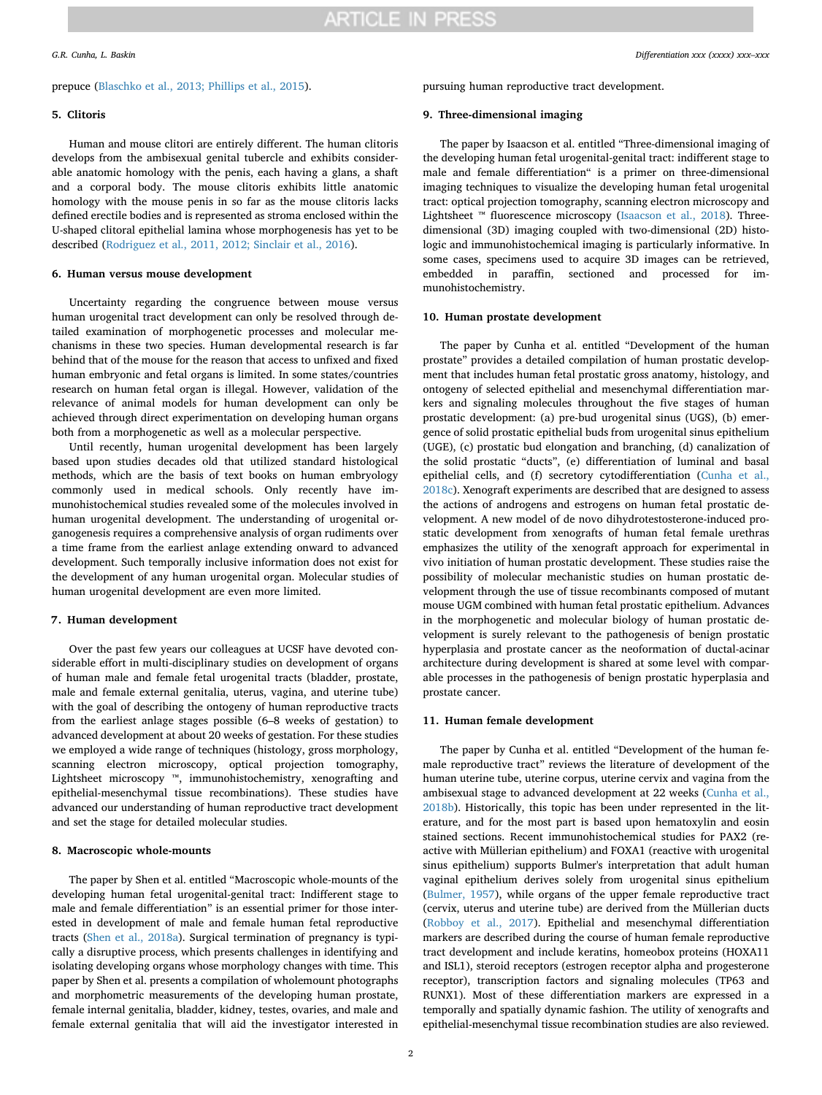# **ARTICLE IN PRESS**

#### prepuce [\(Blaschko et al., 2013; Phillips et al., 2015\)](#page-3-7).

#### **5. Clitoris**

Human and mouse clitori are entirely different. The human clitoris develops from the ambisexual genital tubercle and exhibits considerable anatomic homology with the penis, each having a glans, a shaft and a corporal body. The mouse clitoris exhibits little anatomic homology with the mouse penis in so far as the mouse clitoris lacks defined erectile bodies and is represented as stroma enclosed within the U-shaped clitoral epithelial lamina whose morphogenesis has yet to be described ([Rodriguez et al., 2011, 2012; Sinclair et al., 2016](#page-3-8)).

#### **6. Human versus mouse development**

Uncertainty regarding the congruence between mouse versus human urogenital tract development can only be resolved through detailed examination of morphogenetic processes and molecular mechanisms in these two species. Human developmental research is far behind that of the mouse for the reason that access to unfixed and fixed human embryonic and fetal organs is limited. In some states/countries research on human fetal organ is illegal. However, validation of the relevance of animal models for human development can only be achieved through direct experimentation on developing human organs both from a morphogenetic as well as a molecular perspective.

Until recently, human urogenital development has been largely based upon studies decades old that utilized standard histological methods, which are the basis of text books on human embryology commonly used in medical schools. Only recently have immunohistochemical studies revealed some of the molecules involved in human urogenital development. The understanding of urogenital organogenesis requires a comprehensive analysis of organ rudiments over a time frame from the earliest anlage extending onward to advanced development. Such temporally inclusive information does not exist for the development of any human urogenital organ. Molecular studies of human urogenital development are even more limited.

#### **7. Human development**

Over the past few years our colleagues at UCSF have devoted considerable effort in multi-disciplinary studies on development of organs of human male and female fetal urogenital tracts (bladder, prostate, male and female external genitalia, uterus, vagina, and uterine tube) with the goal of describing the ontogeny of human reproductive tracts from the earliest anlage stages possible (6–8 weeks of gestation) to advanced development at about 20 weeks of gestation. For these studies we employed a wide range of techniques (histology, gross morphology, scanning electron microscopy, optical projection tomography, Lightsheet microscopy ™, immunohistochemistry, xenografting and epithelial-mesenchymal tissue recombinations). These studies have advanced our understanding of human reproductive tract development and set the stage for detailed molecular studies.

#### **8. Macroscopic whole-mounts**

The paper by Shen et al. entitled "Macroscopic whole-mounts of the developing human fetal urogenital-genital tract: Indifferent stage to male and female differentiation" is an essential primer for those interested in development of male and female human fetal reproductive tracts [\(Shen et al., 2018a](#page-3-9)). Surgical termination of pregnancy is typically a disruptive process, which presents challenges in identifying and isolating developing organs whose morphology changes with time. This paper by Shen et al. presents a compilation of wholemount photographs and morphometric measurements of the developing human prostate, female internal genitalia, bladder, kidney, testes, ovaries, and male and female external genitalia that will aid the investigator interested in pursuing human reproductive tract development.

#### **9. Three-dimensional imaging**

The paper by Isaacson et al. entitled "Three-dimensional imaging of the developing human fetal urogenital-genital tract: indifferent stage to male and female differentiation" is a primer on three-dimensional imaging techniques to visualize the developing human fetal urogenital tract: optical projection tomography, scanning electron microscopy and Lightsheet ™ fluorescence microscopy ([Isaacson et al., 2018\)](#page-3-10). Threedimensional (3D) imaging coupled with two-dimensional (2D) histologic and immunohistochemical imaging is particularly informative. In some cases, specimens used to acquire 3D images can be retrieved, embedded in paraffin, sectioned and processed for immunohistochemistry.

#### **10. Human prostate development**

The paper by Cunha et al. entitled "Development of the human prostate" provides a detailed compilation of human prostatic development that includes human fetal prostatic gross anatomy, histology, and ontogeny of selected epithelial and mesenchymal differentiation markers and signaling molecules throughout the five stages of human prostatic development: (a) pre-bud urogenital sinus (UGS), (b) emergence of solid prostatic epithelial buds from urogenital sinus epithelium (UGE), (c) prostatic bud elongation and branching, (d) canalization of the solid prostatic "ducts", (e) differentiation of luminal and basal epithelial cells, and (f) secretory cytodifferentiation [\(Cunha et al.,](#page-3-0) [2018c](#page-3-0)). Xenograft experiments are described that are designed to assess the actions of androgens and estrogens on human fetal prostatic development. A new model of de novo dihydrotestosterone-induced prostatic development from xenografts of human fetal female urethras emphasizes the utility of the xenograft approach for experimental in vivo initiation of human prostatic development. These studies raise the possibility of molecular mechanistic studies on human prostatic development through the use of tissue recombinants composed of mutant mouse UGM combined with human fetal prostatic epithelium. Advances in the morphogenetic and molecular biology of human prostatic development is surely relevant to the pathogenesis of benign prostatic hyperplasia and prostate cancer as the neoformation of ductal-acinar architecture during development is shared at some level with comparable processes in the pathogenesis of benign prostatic hyperplasia and prostate cancer.

#### **11. Human female development**

The paper by Cunha et al. entitled "Development of the human female reproductive tract" reviews the literature of development of the human uterine tube, uterine corpus, uterine cervix and vagina from the ambisexual stage to advanced development at 22 weeks [\(Cunha et al.,](#page-3-11) [2018b\)](#page-3-11). Historically, this topic has been under represented in the literature, and for the most part is based upon hematoxylin and eosin stained sections. Recent immunohistochemical studies for PAX2 (reactive with Müllerian epithelium) and FOXA1 (reactive with urogenital sinus epithelium) supports Bulmer's interpretation that adult human vaginal epithelium derives solely from urogenital sinus epithelium ([Bulmer, 1957\)](#page-3-2), while organs of the upper female reproductive tract (cervix, uterus and uterine tube) are derived from the Müllerian ducts ([Robboy et al., 2017\)](#page-3-12). Epithelial and mesenchymal differentiation markers are described during the course of human female reproductive tract development and include keratins, homeobox proteins (HOXA11 and ISL1), steroid receptors (estrogen receptor alpha and progesterone receptor), transcription factors and signaling molecules (TP63 and RUNX1). Most of these differentiation markers are expressed in a temporally and spatially dynamic fashion. The utility of xenografts and epithelial-mesenchymal tissue recombination studies are also reviewed.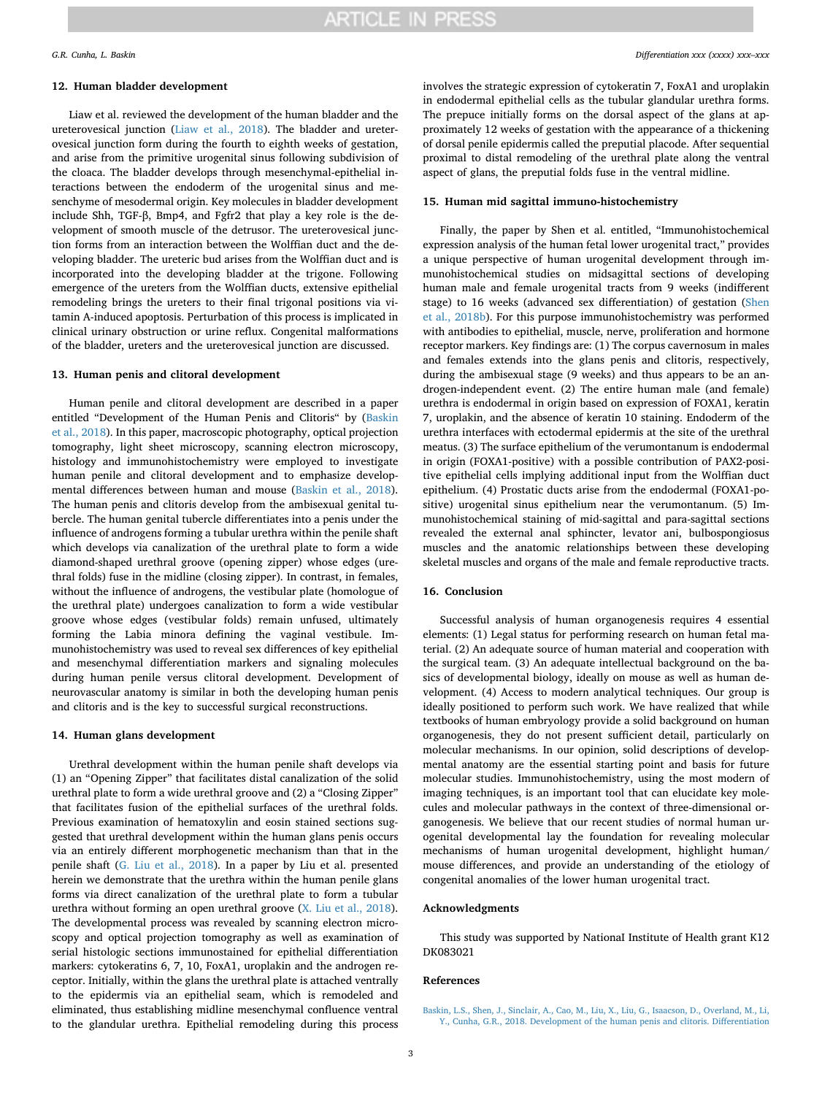#### **12. Human bladder development**

Liaw et al. reviewed the development of the human bladder and the ureterovesical junction ([Liaw et al., 2018\)](#page-3-13). The bladder and ureterovesical junction form during the fourth to eighth weeks of gestation, and arise from the primitive urogenital sinus following subdivision of the cloaca. The bladder develops through mesenchymal-epithelial interactions between the endoderm of the urogenital sinus and mesenchyme of mesodermal origin. Key molecules in bladder development include Shh, TGF-β, Bmp4, and Fgfr2 that play a key role is the development of smooth muscle of the detrusor. The ureterovesical junction forms from an interaction between the Wolffian duct and the developing bladder. The ureteric bud arises from the Wolffian duct and is incorporated into the developing bladder at the trigone. Following emergence of the ureters from the Wolffian ducts, extensive epithelial remodeling brings the ureters to their final trigonal positions via vitamin A-induced apoptosis. Perturbation of this process is implicated in clinical urinary obstruction or urine reflux. Congenital malformations of the bladder, ureters and the ureterovesical junction are discussed.

#### **13. Human penis and clitoral development**

Human penile and clitoral development are described in a paper entitled "Development of the Human Penis and Clitoris" by [\(Baskin](#page-2-0) [et al., 2018\)](#page-2-0). In this paper, macroscopic photography, optical projection tomography, light sheet microscopy, scanning electron microscopy, histology and immunohistochemistry were employed to investigate human penile and clitoral development and to emphasize developmental differences between human and mouse [\(Baskin et al., 2018](#page-2-0)). The human penis and clitoris develop from the ambisexual genital tubercle. The human genital tubercle differentiates into a penis under the influence of androgens forming a tubular urethra within the penile shaft which develops via canalization of the urethral plate to form a wide diamond-shaped urethral groove (opening zipper) whose edges (urethral folds) fuse in the midline (closing zipper). In contrast, in females, without the influence of androgens, the vestibular plate (homologue of the urethral plate) undergoes canalization to form a wide vestibular groove whose edges (vestibular folds) remain unfused, ultimately forming the Labia minora defining the vaginal vestibule. Immunohistochemistry was used to reveal sex differences of key epithelial and mesenchymal differentiation markers and signaling molecules during human penile versus clitoral development. Development of neurovascular anatomy is similar in both the developing human penis and clitoris and is the key to successful surgical reconstructions.

#### **14. Human glans development**

Urethral development within the human penile shaft develops via (1) an "Opening Zipper" that facilitates distal canalization of the solid urethral plate to form a wide urethral groove and (2) a "Closing Zipper" that facilitates fusion of the epithelial surfaces of the urethral folds. Previous examination of hematoxylin and eosin stained sections suggested that urethral development within the human glans penis occurs via an entirely different morphogenetic mechanism than that in the penile shaft [\(G. Liu et al., 2018\)](#page-3-6). In a paper by Liu et al. presented herein we demonstrate that the urethra within the human penile glans forms via direct canalization of the urethral plate to form a tubular urethra without forming an open urethral groove ([X. Liu et al., 2018](#page-3-14)). The developmental process was revealed by scanning electron microscopy and optical projection tomography as well as examination of serial histologic sections immunostained for epithelial differentiation markers: cytokeratins 6, 7, 10, FoxA1, uroplakin and the androgen receptor. Initially, within the glans the urethral plate is attached ventrally to the epidermis via an epithelial seam, which is remodeled and eliminated, thus establishing midline mesenchymal confluence ventral to the glandular urethra. Epithelial remodeling during this process involves the strategic expression of cytokeratin 7, FoxA1 and uroplakin in endodermal epithelial cells as the tubular glandular urethra forms. The prepuce initially forms on the dorsal aspect of the glans at approximately 12 weeks of gestation with the appearance of a thickening of dorsal penile epidermis called the preputial placode. After sequential proximal to distal remodeling of the urethral plate along the ventral aspect of glans, the preputial folds fuse in the ventral midline.

#### **15. Human mid sagittal immuno-histochemistry**

Finally, the paper by Shen et al. entitled, "Immunohistochemical expression analysis of the human fetal lower urogenital tract," provides a unique perspective of human urogenital development through immunohistochemical studies on midsagittal sections of developing human male and female urogenital tracts from 9 weeks (indifferent stage) to 16 weeks (advanced sex differentiation) of gestation ([Shen](#page-3-15) [et al., 2018b\)](#page-3-15). For this purpose immunohistochemistry was performed with antibodies to epithelial, muscle, nerve, proliferation and hormone receptor markers. Key findings are: (1) The corpus cavernosum in males and females extends into the glans penis and clitoris, respectively, during the ambisexual stage (9 weeks) and thus appears to be an androgen-independent event. (2) The entire human male (and female) urethra is endodermal in origin based on expression of FOXA1, keratin 7, uroplakin, and the absence of keratin 10 staining. Endoderm of the urethra interfaces with ectodermal epidermis at the site of the urethral meatus. (3) The surface epithelium of the verumontanum is endodermal in origin (FOXA1-positive) with a possible contribution of PAX2-positive epithelial cells implying additional input from the Wolffian duct epithelium. (4) Prostatic ducts arise from the endodermal (FOXA1-positive) urogenital sinus epithelium near the verumontanum. (5) Immunohistochemical staining of mid-sagittal and para-sagittal sections revealed the external anal sphincter, levator ani, bulbospongiosus muscles and the anatomic relationships between these developing skeletal muscles and organs of the male and female reproductive tracts.

#### **16. Conclusion**

Successful analysis of human organogenesis requires 4 essential elements: (1) Legal status for performing research on human fetal material. (2) An adequate source of human material and cooperation with the surgical team. (3) An adequate intellectual background on the basics of developmental biology, ideally on mouse as well as human development. (4) Access to modern analytical techniques. Our group is ideally positioned to perform such work. We have realized that while textbooks of human embryology provide a solid background on human organogenesis, they do not present sufficient detail, particularly on molecular mechanisms. In our opinion, solid descriptions of developmental anatomy are the essential starting point and basis for future molecular studies. Immunohistochemistry, using the most modern of imaging techniques, is an important tool that can elucidate key molecules and molecular pathways in the context of three-dimensional organogenesis. We believe that our recent studies of normal human urogenital developmental lay the foundation for revealing molecular mechanisms of human urogenital development, highlight human/ mouse differences, and provide an understanding of the etiology of congenital anomalies of the lower human urogenital tract.

#### **Acknowledgments**

This study was supported by NationaI Institute of Health grant K12 DK083021

#### **References**

<span id="page-2-0"></span>[Baskin, L.S., Shen, J., Sinclair, A., Cao, M., Liu, X., Liu, G., Isaacson, D., Overland, M., Li,](http://refhub.elsevier.com/S0301-4681(18)30112-9/sbref1) [Y., Cunha, G.R., 2018. Development of the human penis and clitoris. Differentiation](http://refhub.elsevier.com/S0301-4681(18)30112-9/sbref1)